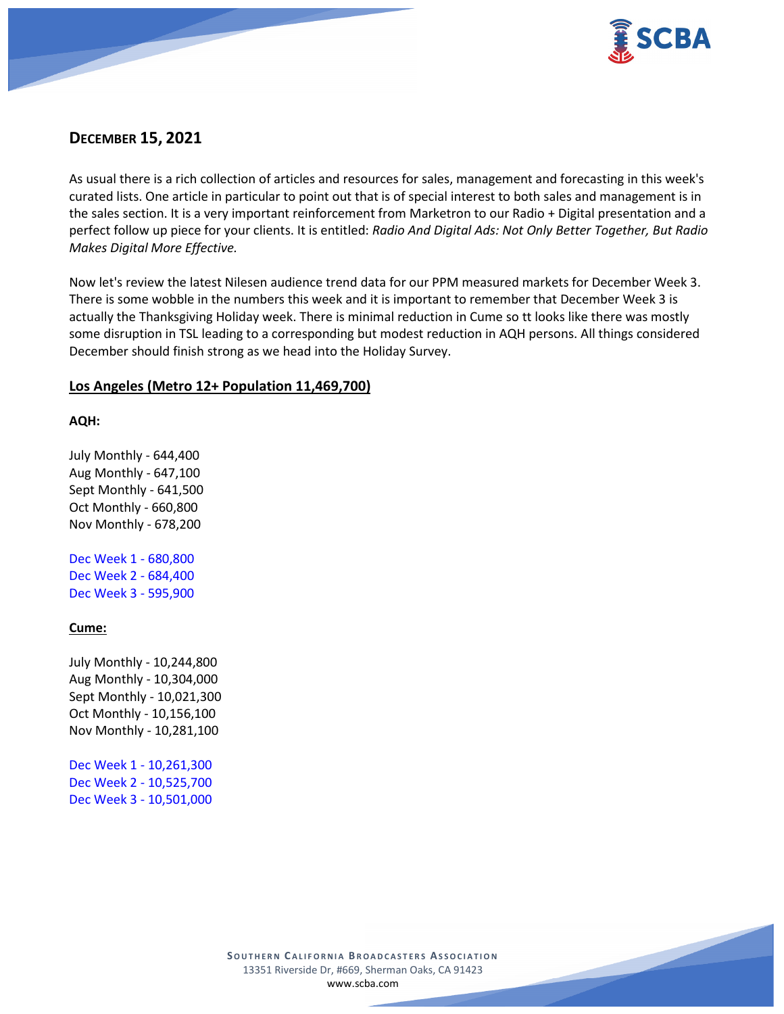

# **DECEMBER 15, 2021**

As usual there is a rich collection of articles and resources for sales, management and forecasting in this week's curated lists. One article in particular to point out that is of special interest to both sales and management is in the sales section. It is a very important reinforcement from Marketron to our Radio + Digital presentation and a perfect follow up piece for your clients. It is entitled: *Radio And Digital Ads: Not Only Better Together, But Radio Makes Digital More Effective.*

Now let's review the latest Nilesen audience trend data for our PPM measured markets for December Week 3. There is some wobble in the numbers this week and it is important to remember that December Week 3 is actually the Thanksgiving Holiday week. There is minimal reduction in Cume so tt looks like there was mostly some disruption in TSL leading to a corresponding but modest reduction in AQH persons. All things considered December should finish strong as we head into the Holiday Survey.

# **Los Angeles (Metro 12+ Population 11,469,700)**

## **AQH:**

July Monthly - 644,400 Aug Monthly - 647,100 Sept Monthly - 641,500 Oct Monthly - 660,800 Nov Monthly - 678,200

Dec Week 1 - 680,800 Dec Week 2 - 684,400 Dec Week 3 - 595,900

## **Cume:**

July Monthly - 10,244,800 Aug Monthly - 10,304,000 Sept Monthly - 10,021,300 Oct Monthly - 10,156,100 Nov Monthly - 10,281,100

Dec Week 1 - 10,261,300 Dec Week 2 - 10,525,700 Dec Week 3 - 10,501,000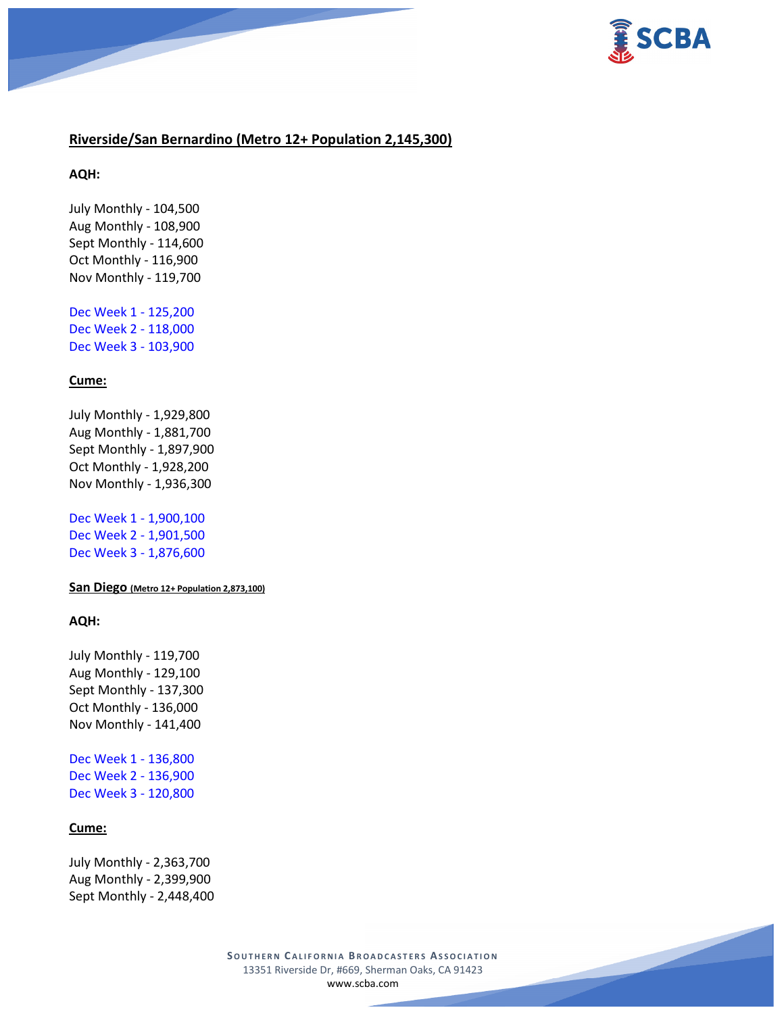

## **Riverside/San Bernardino (Metro 12+ Population 2,145,300)**

**AQH:**

July Monthly - 104,500 Aug Monthly - 108,900 Sept Monthly - 114,600 Oct Monthly - 116,900 Nov Monthly - 119,700

Dec Week 1 - 125,200 Dec Week 2 - 118,000 Dec Week 3 - 103,900

## **Cume:**

July Monthly - 1,929,800 Aug Monthly - 1,881,700 Sept Monthly - 1,897,900 Oct Monthly - 1,928,200 Nov Monthly - 1,936,300

Dec Week 1 - 1,900,100 Dec Week 2 - 1,901,500 Dec Week 3 - 1,876,600

**San Diego (Metro 12+ Population 2,873,100)**

#### **AQH:**

July Monthly - 119,700 Aug Monthly - 129,100 Sept Monthly - 137,300 Oct Monthly - 136,000 Nov Monthly - 141,400

Dec Week 1 - 136,800 Dec Week 2 - 136,900 Dec Week 3 - 120,800

### **Cume:**

July Monthly - 2,363,700 Aug Monthly - 2,399,900 Sept Monthly - 2,448,400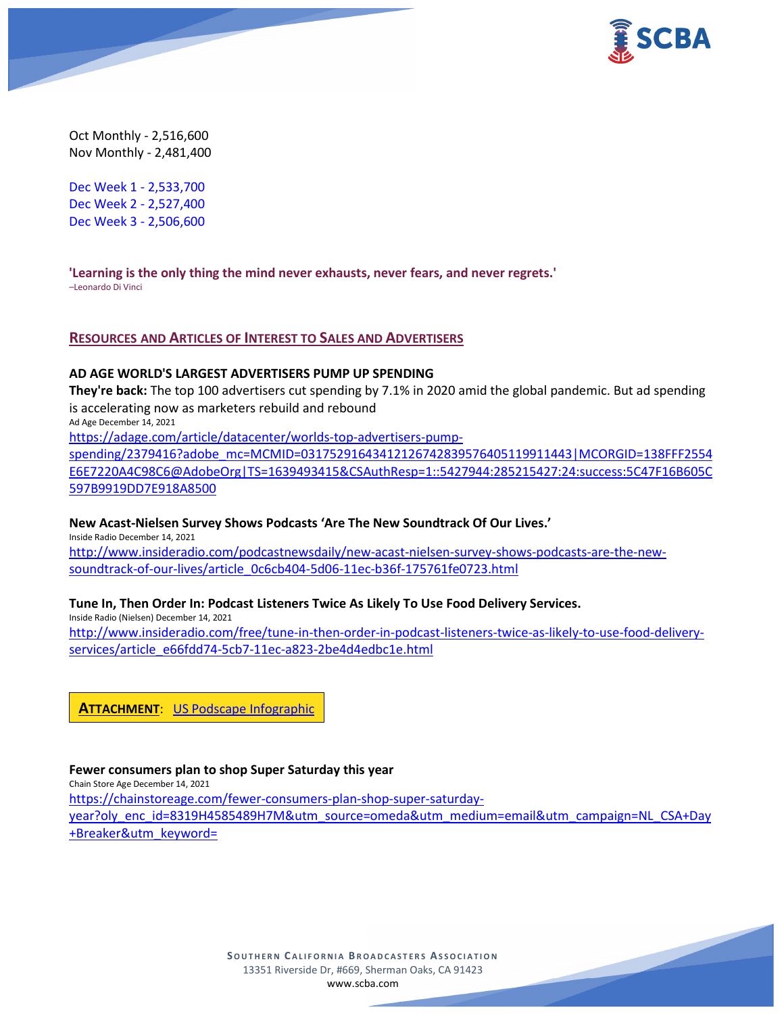

Oct Monthly - 2,516,600 Nov Monthly - 2,481,400

Dec Week 1 - 2,533,700 Dec Week 2 - 2,527,400 Dec Week 3 - 2,506,600

**'Learning is the only thing the mind never exhausts, never fears, and never regrets.'** –Leonardo Di Vinci

## **RESOURCES AND ARTICLES OF INTEREST TO SALES AND ADVERTISERS**

#### **AD AGE WORLD'S LARGEST ADVERTISERS PUMP UP SPENDING**

**They're back:** The top 100 advertisers cut spending by 7.1% in 2020 amid the global pandemic. But ad spending is accelerating now as marketers rebuild and rebound Ad Age December 14, 2021

[https://adage.com/article/datacenter/worlds-top-advertisers-pump-](https://adage.com/article/datacenter/worlds-top-advertisers-pump-spending/2379416?adobe_mc=MCMID=03175291643412126742839576405119911443|MCORGID=138FFF2554E6E7220A4C98C6@AdobeOrg|TS=1639493415&CSAuthResp=1::5427944:285215427:24:success:5C47F16B605C597B9919DD7E918A8500)

[spending/2379416?adobe\\_mc=MCMID=03175291643412126742839576405119911443|MCORGID=138FFF2554](https://adage.com/article/datacenter/worlds-top-advertisers-pump-spending/2379416?adobe_mc=MCMID=03175291643412126742839576405119911443|MCORGID=138FFF2554E6E7220A4C98C6@AdobeOrg|TS=1639493415&CSAuthResp=1::5427944:285215427:24:success:5C47F16B605C597B9919DD7E918A8500) [E6E7220A4C98C6@AdobeOrg|TS=1639493415&CSAuthResp=1::5427944:285215427:24:success:5C47F16B605C](https://adage.com/article/datacenter/worlds-top-advertisers-pump-spending/2379416?adobe_mc=MCMID=03175291643412126742839576405119911443|MCORGID=138FFF2554E6E7220A4C98C6@AdobeOrg|TS=1639493415&CSAuthResp=1::5427944:285215427:24:success:5C47F16B605C597B9919DD7E918A8500) [597B9919DD7E918A8500](https://adage.com/article/datacenter/worlds-top-advertisers-pump-spending/2379416?adobe_mc=MCMID=03175291643412126742839576405119911443|MCORGID=138FFF2554E6E7220A4C98C6@AdobeOrg|TS=1639493415&CSAuthResp=1::5427944:285215427:24:success:5C47F16B605C597B9919DD7E918A8500)

#### **New Acast-Nielsen Survey Shows Podcasts 'Are The New Soundtrack Of Our Lives.'**

Inside Radio December 14, 2021

[http://www.insideradio.com/podcastnewsdaily/new-acast-nielsen-survey-shows-podcasts-are-the-new](http://www.insideradio.com/podcastnewsdaily/new-acast-nielsen-survey-shows-podcasts-are-the-new-soundtrack-of-our-lives/article_0c6cb404-5d06-11ec-b36f-175761fe0723.html)[soundtrack-of-our-lives/article\\_0c6cb404-5d06-11ec-b36f-175761fe0723.html](http://www.insideradio.com/podcastnewsdaily/new-acast-nielsen-survey-shows-podcasts-are-the-new-soundtrack-of-our-lives/article_0c6cb404-5d06-11ec-b36f-175761fe0723.html)

## **Tune In, Then Order In: Podcast Listeners Twice As Likely To Use Food Delivery Services.**

Inside Radio (Nielsen) December 14, 2021 [http://www.insideradio.com/free/tune-in-then-order-in-podcast-listeners-twice-as-likely-to-use-food-delivery](http://www.insideradio.com/free/tune-in-then-order-in-podcast-listeners-twice-as-likely-to-use-food-delivery-services/article_e66fdd74-5cb7-11ec-a823-2be4d4edbc1e.html)[services/article\\_e66fdd74-5cb7-11ec-a823-2be4d4edbc1e.html](http://www.insideradio.com/free/tune-in-then-order-in-podcast-listeners-twice-as-likely-to-use-food-delivery-services/article_e66fdd74-5cb7-11ec-a823-2be4d4edbc1e.html)

**ATTACHMENT**: [US Podscape Infographic](https://scba.com/wp-content/uploads/2021/12/US-Podscape-Infographic_12.21.pdf)

#### **Fewer consumers plan to shop Super Saturday this year**

Chain Store Age December 14, 2021 [https://chainstoreage.com/fewer-consumers-plan-shop-super-saturday](https://chainstoreage.com/fewer-consumers-plan-shop-super-saturday-year?oly_enc_id=8319H4585489H7M&utm_source=omeda&utm_medium=email&utm_campaign=NL_CSA+Day+Breaker&utm_keyword=)[year?oly\\_enc\\_id=8319H4585489H7M&utm\\_source=omeda&utm\\_medium=email&utm\\_campaign=NL\\_CSA+Day](https://chainstoreage.com/fewer-consumers-plan-shop-super-saturday-year?oly_enc_id=8319H4585489H7M&utm_source=omeda&utm_medium=email&utm_campaign=NL_CSA+Day+Breaker&utm_keyword=) [+Breaker&utm\\_keyword=](https://chainstoreage.com/fewer-consumers-plan-shop-super-saturday-year?oly_enc_id=8319H4585489H7M&utm_source=omeda&utm_medium=email&utm_campaign=NL_CSA+Day+Breaker&utm_keyword=)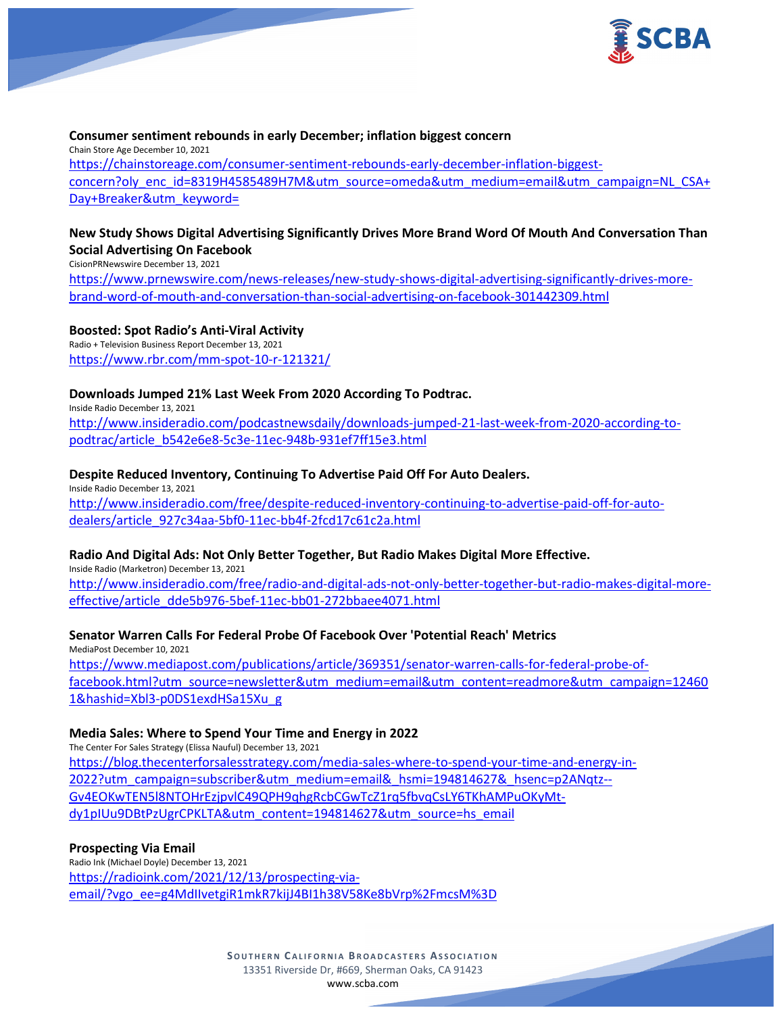

## **Consumer sentiment rebounds in early December; inflation biggest concern**

Chain Store Age December 10, 2021 [https://chainstoreage.com/consumer-sentiment-rebounds-early-december-inflation-biggest](https://chainstoreage.com/consumer-sentiment-rebounds-early-december-inflation-biggest-concern?oly_enc_id=8319H4585489H7M&utm_source=omeda&utm_medium=email&utm_campaign=NL_CSA+Day+Breaker&utm_keyword=)[concern?oly\\_enc\\_id=8319H4585489H7M&utm\\_source=omeda&utm\\_medium=email&utm\\_campaign=NL\\_CSA+](https://chainstoreage.com/consumer-sentiment-rebounds-early-december-inflation-biggest-concern?oly_enc_id=8319H4585489H7M&utm_source=omeda&utm_medium=email&utm_campaign=NL_CSA+Day+Breaker&utm_keyword=) [Day+Breaker&utm\\_keyword=](https://chainstoreage.com/consumer-sentiment-rebounds-early-december-inflation-biggest-concern?oly_enc_id=8319H4585489H7M&utm_source=omeda&utm_medium=email&utm_campaign=NL_CSA+Day+Breaker&utm_keyword=)

# **New Study Shows Digital Advertising Significantly Drives More Brand Word Of Mouth And Conversation Than Social Advertising On Facebook**

CisionPRNewswire December 13, 2021

[https://www.prnewswire.com/news-releases/new-study-shows-digital-advertising-significantly-drives-more](https://www.prnewswire.com/news-releases/new-study-shows-digital-advertising-significantly-drives-more-brand-word-of-mouth-and-conversation-than-social-advertising-on-facebook-301442309.html)[brand-word-of-mouth-and-conversation-than-social-advertising-on-facebook-301442309.html](https://www.prnewswire.com/news-releases/new-study-shows-digital-advertising-significantly-drives-more-brand-word-of-mouth-and-conversation-than-social-advertising-on-facebook-301442309.html)

### **Boosted: Spot Radio's Anti-Viral Activity**

Radio + Television Business Report December 13, 2021 <https://www.rbr.com/mm-spot-10-r-121321/>

## **Downloads Jumped 21% Last Week From 2020 According To Podtrac.**

Inside Radio December 13, 2021 [http://www.insideradio.com/podcastnewsdaily/downloads-jumped-21-last-week-from-2020-according-to](http://www.insideradio.com/podcastnewsdaily/downloads-jumped-21-last-week-from-2020-according-to-podtrac/article_b542e6e8-5c3e-11ec-948b-931ef7ff15e3.html)[podtrac/article\\_b542e6e8-5c3e-11ec-948b-931ef7ff15e3.html](http://www.insideradio.com/podcastnewsdaily/downloads-jumped-21-last-week-from-2020-according-to-podtrac/article_b542e6e8-5c3e-11ec-948b-931ef7ff15e3.html)

## **Despite Reduced Inventory, Continuing To Advertise Paid Off For Auto Dealers.**

Inside Radio December 13, 2021 [http://www.insideradio.com/free/despite-reduced-inventory-continuing-to-advertise-paid-off-for-auto](http://www.insideradio.com/free/despite-reduced-inventory-continuing-to-advertise-paid-off-for-auto-dealers/article_927c34aa-5bf0-11ec-bb4f-2fcd17c61c2a.html)[dealers/article\\_927c34aa-5bf0-11ec-bb4f-2fcd17c61c2a.html](http://www.insideradio.com/free/despite-reduced-inventory-continuing-to-advertise-paid-off-for-auto-dealers/article_927c34aa-5bf0-11ec-bb4f-2fcd17c61c2a.html)

### **Radio And Digital Ads: Not Only Better Together, But Radio Makes Digital More Effective.**

Inside Radio (Marketron) December 13, 2021 [http://www.insideradio.com/free/radio-and-digital-ads-not-only-better-together-but-radio-makes-digital-more](http://www.insideradio.com/free/radio-and-digital-ads-not-only-better-together-but-radio-makes-digital-more-effective/article_dde5b976-5bef-11ec-bb01-272bbaee4071.html)[effective/article\\_dde5b976-5bef-11ec-bb01-272bbaee4071.html](http://www.insideradio.com/free/radio-and-digital-ads-not-only-better-together-but-radio-makes-digital-more-effective/article_dde5b976-5bef-11ec-bb01-272bbaee4071.html)

## **Senator Warren Calls For Federal Probe Of Facebook Over 'Potential Reach' Metrics**

MediaPost December 10, 2021 [https://www.mediapost.com/publications/article/369351/senator-warren-calls-for-federal-probe-of](https://www.mediapost.com/publications/article/369351/senator-warren-calls-for-federal-probe-of-facebook.html?utm_source=newsletter&utm_medium=email&utm_content=readmore&utm_campaign=124601&hashid=Xbl3-p0DS1exdHSa15Xu_g)[facebook.html?utm\\_source=newsletter&utm\\_medium=email&utm\\_content=readmore&utm\\_campaign=12460](https://www.mediapost.com/publications/article/369351/senator-warren-calls-for-federal-probe-of-facebook.html?utm_source=newsletter&utm_medium=email&utm_content=readmore&utm_campaign=124601&hashid=Xbl3-p0DS1exdHSa15Xu_g) [1&hashid=Xbl3-p0DS1exdHSa15Xu\\_g](https://www.mediapost.com/publications/article/369351/senator-warren-calls-for-federal-probe-of-facebook.html?utm_source=newsletter&utm_medium=email&utm_content=readmore&utm_campaign=124601&hashid=Xbl3-p0DS1exdHSa15Xu_g)

### **Media Sales: Where to Spend Your Time and Energy in 2022**

The Center For Sales Strategy (Elissa Nauful) December 13, 2021 [https://blog.thecenterforsalesstrategy.com/media-sales-where-to-spend-your-time-and-energy-in-](https://blog.thecenterforsalesstrategy.com/media-sales-where-to-spend-your-time-and-energy-in-2022?utm_campaign=subscriber&utm_medium=email&_hsmi=194814627&_hsenc=p2ANqtz--Gv4EOKwTEN5l8NTOHrEzjpvlC49QPH9qhgRcbCGwTcZ1rq5fbvqCsLY6TKhAMPuOKyMt-dy1pIUu9DBtPzUgrCPKLTA&utm_content=194814627&utm_source=hs_email)[2022?utm\\_campaign=subscriber&utm\\_medium=email&\\_hsmi=194814627&\\_hsenc=p2ANqtz--](https://blog.thecenterforsalesstrategy.com/media-sales-where-to-spend-your-time-and-energy-in-2022?utm_campaign=subscriber&utm_medium=email&_hsmi=194814627&_hsenc=p2ANqtz--Gv4EOKwTEN5l8NTOHrEzjpvlC49QPH9qhgRcbCGwTcZ1rq5fbvqCsLY6TKhAMPuOKyMt-dy1pIUu9DBtPzUgrCPKLTA&utm_content=194814627&utm_source=hs_email) [Gv4EOKwTEN5l8NTOHrEzjpvlC49QPH9qhgRcbCGwTcZ1rq5fbvqCsLY6TKhAMPuOKyMt](https://blog.thecenterforsalesstrategy.com/media-sales-where-to-spend-your-time-and-energy-in-2022?utm_campaign=subscriber&utm_medium=email&_hsmi=194814627&_hsenc=p2ANqtz--Gv4EOKwTEN5l8NTOHrEzjpvlC49QPH9qhgRcbCGwTcZ1rq5fbvqCsLY6TKhAMPuOKyMt-dy1pIUu9DBtPzUgrCPKLTA&utm_content=194814627&utm_source=hs_email)[dy1pIUu9DBtPzUgrCPKLTA&utm\\_content=194814627&utm\\_source=hs\\_email](https://blog.thecenterforsalesstrategy.com/media-sales-where-to-spend-your-time-and-energy-in-2022?utm_campaign=subscriber&utm_medium=email&_hsmi=194814627&_hsenc=p2ANqtz--Gv4EOKwTEN5l8NTOHrEzjpvlC49QPH9qhgRcbCGwTcZ1rq5fbvqCsLY6TKhAMPuOKyMt-dy1pIUu9DBtPzUgrCPKLTA&utm_content=194814627&utm_source=hs_email)

### **Prospecting Via Email**

Radio Ink (Michael Doyle) December 13, 2021 [https://radioink.com/2021/12/13/prospecting-via](https://radioink.com/2021/12/13/prospecting-via-email/?vgo_ee=g4MdIIvetgiR1mkR7kijJ4BI1h38V58Ke8bVrp%2FmcsM%3D)[email/?vgo\\_ee=g4MdIIvetgiR1mkR7kijJ4BI1h38V58Ke8bVrp%2FmcsM%3D](https://radioink.com/2021/12/13/prospecting-via-email/?vgo_ee=g4MdIIvetgiR1mkR7kijJ4BI1h38V58Ke8bVrp%2FmcsM%3D)

> **SOUTHERN C ALIFORNIA B ROADCASTERS ASSOCIATION** 13351 Riverside Dr, #669, Sherman Oaks, CA 91423 [www.scba.com](http://www.scba.com/)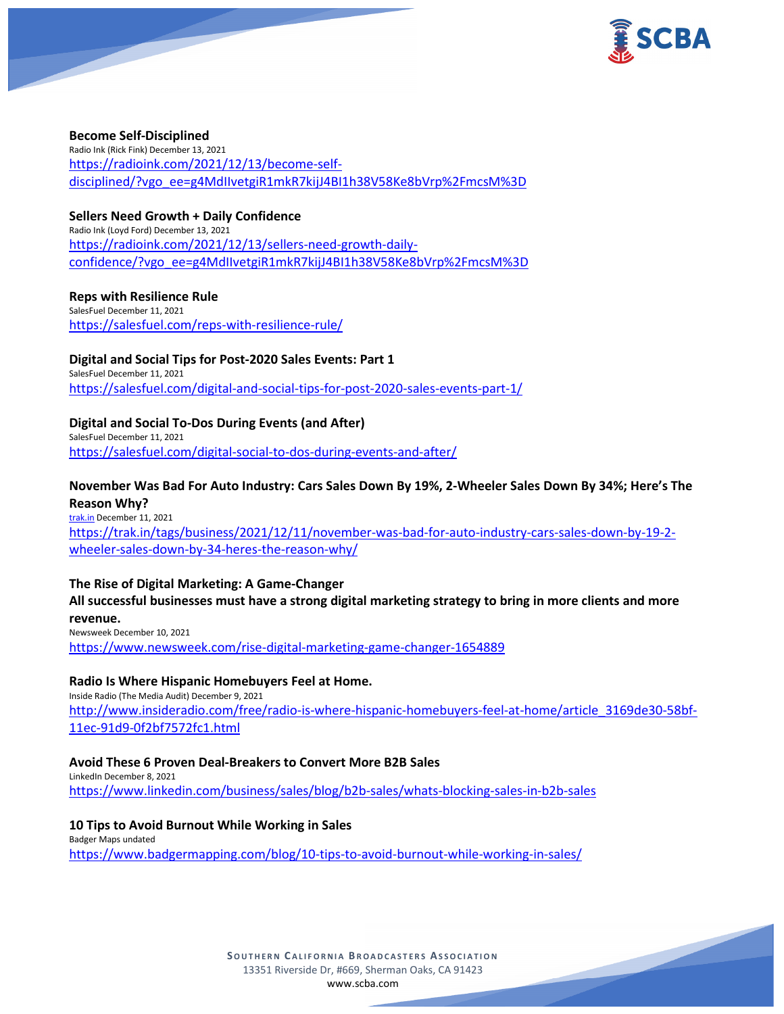

## **Become Self-Disciplined**

Radio Ink (Rick Fink) December 13, 2021 [https://radioink.com/2021/12/13/become-self](https://radioink.com/2021/12/13/become-self-disciplined/?vgo_ee=g4MdIIvetgiR1mkR7kijJ4BI1h38V58Ke8bVrp%2FmcsM%3D)[disciplined/?vgo\\_ee=g4MdIIvetgiR1mkR7kijJ4BI1h38V58Ke8bVrp%2FmcsM%3D](https://radioink.com/2021/12/13/become-self-disciplined/?vgo_ee=g4MdIIvetgiR1mkR7kijJ4BI1h38V58Ke8bVrp%2FmcsM%3D)

# **Sellers Need Growth + Daily Confidence**

Radio Ink (Loyd Ford) December 13, 2021 [https://radioink.com/2021/12/13/sellers-need-growth-daily](https://radioink.com/2021/12/13/sellers-need-growth-daily-confidence/?vgo_ee=g4MdIIvetgiR1mkR7kijJ4BI1h38V58Ke8bVrp%2FmcsM%3D)[confidence/?vgo\\_ee=g4MdIIvetgiR1mkR7kijJ4BI1h38V58Ke8bVrp%2FmcsM%3D](https://radioink.com/2021/12/13/sellers-need-growth-daily-confidence/?vgo_ee=g4MdIIvetgiR1mkR7kijJ4BI1h38V58Ke8bVrp%2FmcsM%3D)

# **Reps with Resilience Rule**

SalesFuel December 11, 2021 <https://salesfuel.com/reps-with-resilience-rule/>

## **Digital and Social Tips for Post-2020 Sales Events: Part 1**

SalesFuel December 11, 2021 <https://salesfuel.com/digital-and-social-tips-for-post-2020-sales-events-part-1/>

# **Digital and Social To-Dos During Events (and After)**

SalesFuel December 11, 2021 <https://salesfuel.com/digital-social-to-dos-during-events-and-after/>

## **November Was Bad For Auto Industry: Cars Sales Down By 19%, 2-Wheeler Sales Down By 34%; Here's The Reason Why?**

[trak.in](http://trak.in/) December 11, 2021

[https://trak.in/tags/business/2021/12/11/november-was-bad-for-auto-industry-cars-sales-down-by-19-2](https://trak.in/tags/business/2021/12/11/november-was-bad-for-auto-industry-cars-sales-down-by-19-2-wheeler-sales-down-by-34-heres-the-reason-why/) [wheeler-sales-down-by-34-heres-the-reason-why/](https://trak.in/tags/business/2021/12/11/november-was-bad-for-auto-industry-cars-sales-down-by-19-2-wheeler-sales-down-by-34-heres-the-reason-why/)

## **The Rise of Digital Marketing: A Game-Changer**

# **All successful businesses must have a strong digital marketing strategy to bring in more clients and more revenue.**

Newsweek December 10, 2021 <https://www.newsweek.com/rise-digital-marketing-game-changer-1654889>

# **Radio Is Where Hispanic Homebuyers Feel at Home.**

Inside Radio (The Media Audit) December 9, 2021 [http://www.insideradio.com/free/radio-is-where-hispanic-homebuyers-feel-at-home/article\\_3169de30-58bf-](http://www.insideradio.com/free/radio-is-where-hispanic-homebuyers-feel-at-home/article_3169de30-58bf-11ec-91d9-0f2bf7572fc1.html)[11ec-91d9-0f2bf7572fc1.html](http://www.insideradio.com/free/radio-is-where-hispanic-homebuyers-feel-at-home/article_3169de30-58bf-11ec-91d9-0f2bf7572fc1.html)

### **Avoid These 6 Proven Deal-Breakers to Convert More B2B Sales**

LinkedIn December 8, 2021 <https://www.linkedin.com/business/sales/blog/b2b-sales/whats-blocking-sales-in-b2b-sales>

### **10 Tips to Avoid Burnout While Working in Sales**

Badger Maps undated <https://www.badgermapping.com/blog/10-tips-to-avoid-burnout-while-working-in-sales/>

> **SOUTHERN C ALIFORNIA B ROADCASTERS ASSOCIATION** 13351 Riverside Dr, #669, Sherman Oaks, CA 91423 [www.scba.com](http://www.scba.com/)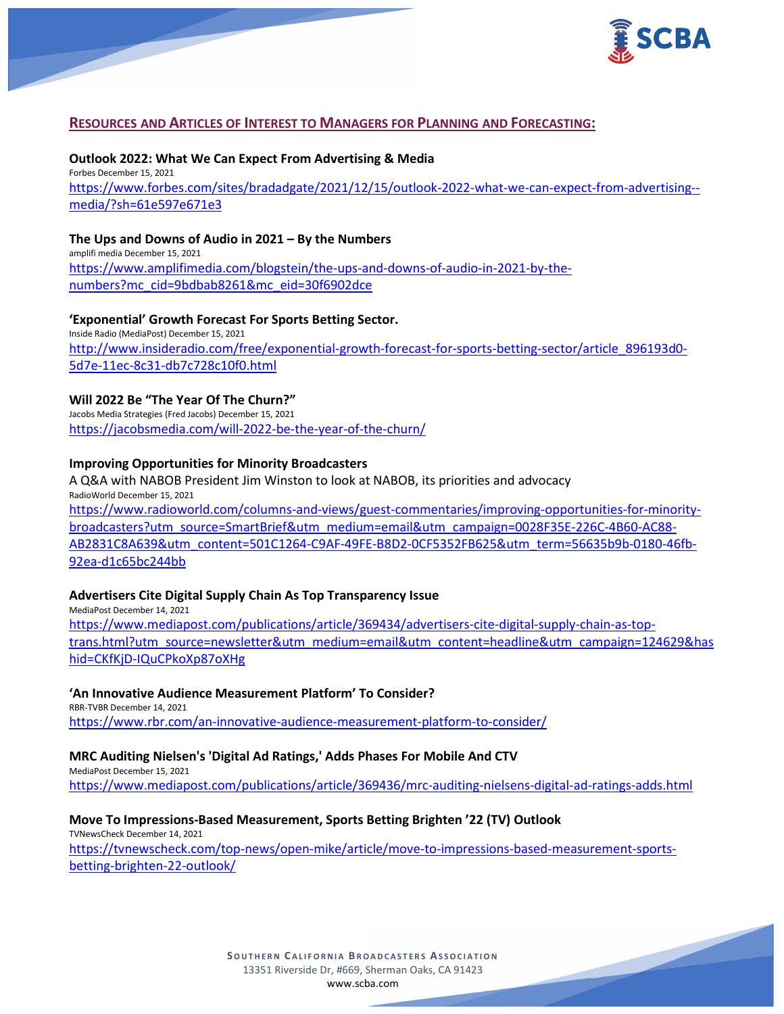

## **RESOURCES AND ARTICLES OF INTEREST TO MANAGERS FOR PLANNING AND FORECASTING:**

**Outlook 2022: What We Can Expect From Advertising & Media** Forbes December 15, 2021 [https://www.forbes.com/sites/bradadgate/2021/12/15/outlook-2022-what-we-can-expect-from-advertising-](https://www.forbes.com/sites/bradadgate/2021/12/15/outlook-2022-what-we-can-expect-from-advertising--media/?sh=61e597e671e3) [media/?sh=61e597e671e3](https://www.forbes.com/sites/bradadgate/2021/12/15/outlook-2022-what-we-can-expect-from-advertising--media/?sh=61e597e671e3)

#### **The Ups and Downs of Audio in 2021 – By the Numbers**

amplifi media December 15, 2021 [https://www.amplifimedia.com/blogstein/the-ups-and-downs-of-audio-in-2021-by-the](https://www.amplifimedia.com/blogstein/the-ups-and-downs-of-audio-in-2021-by-the-numbers?mc_cid=9bdbab8261&mc_eid=30f6902dce)[numbers?mc\\_cid=9bdbab8261&mc\\_eid=30f6902dce](https://www.amplifimedia.com/blogstein/the-ups-and-downs-of-audio-in-2021-by-the-numbers?mc_cid=9bdbab8261&mc_eid=30f6902dce)

### **'Exponential' Growth Forecast For Sports Betting Sector.**

Inside Radio (MediaPost) December 15, 2021 [http://www.insideradio.com/free/exponential-growth-forecast-for-sports-betting-sector/article\\_896193d0-](http://www.insideradio.com/free/exponential-growth-forecast-for-sports-betting-sector/article_896193d0-5d7e-11ec-8c31-db7c728c10f0.html) [5d7e-11ec-8c31-db7c728c10f0.html](http://www.insideradio.com/free/exponential-growth-forecast-for-sports-betting-sector/article_896193d0-5d7e-11ec-8c31-db7c728c10f0.html)

## **Will 2022 Be "The Year Of The Churn?"**

Jacobs Media Strategies (Fred Jacobs) December 15, 2021 <https://jacobsmedia.com/will-2022-be-the-year-of-the-churn/>

#### **Improving Opportunities for Minority Broadcasters**

A Q&A with NABOB President Jim Winston to look at NABOB, its priorities and advocacy RadioWorld December 15, 2021 [https://www.radioworld.com/columns-and-views/guest-commentaries/improving-opportunities-for-minority](https://www.radioworld.com/columns-and-views/guest-commentaries/improving-opportunities-for-minority-broadcasters?utm_source=SmartBrief&utm_medium=email&utm_campaign=0028F35E-226C-4B60-AC88-AB2831C8A639&utm_content=501C1264-C9AF-49FE-B8D2-0CF5352FB625&utm_term=56635b9b-0180-46fb-92ea-d1c65bc244bb)[broadcasters?utm\\_source=SmartBrief&utm\\_medium=email&utm\\_campaign=0028F35E-226C-4B60-AC88-](https://www.radioworld.com/columns-and-views/guest-commentaries/improving-opportunities-for-minority-broadcasters?utm_source=SmartBrief&utm_medium=email&utm_campaign=0028F35E-226C-4B60-AC88-AB2831C8A639&utm_content=501C1264-C9AF-49FE-B8D2-0CF5352FB625&utm_term=56635b9b-0180-46fb-92ea-d1c65bc244bb) [AB2831C8A639&utm\\_content=501C1264-C9AF-49FE-B8D2-0CF5352FB625&utm\\_term=56635b9b-0180-46fb-](https://www.radioworld.com/columns-and-views/guest-commentaries/improving-opportunities-for-minority-broadcasters?utm_source=SmartBrief&utm_medium=email&utm_campaign=0028F35E-226C-4B60-AC88-AB2831C8A639&utm_content=501C1264-C9AF-49FE-B8D2-0CF5352FB625&utm_term=56635b9b-0180-46fb-92ea-d1c65bc244bb)[92ea-d1c65bc244bb](https://www.radioworld.com/columns-and-views/guest-commentaries/improving-opportunities-for-minority-broadcasters?utm_source=SmartBrief&utm_medium=email&utm_campaign=0028F35E-226C-4B60-AC88-AB2831C8A639&utm_content=501C1264-C9AF-49FE-B8D2-0CF5352FB625&utm_term=56635b9b-0180-46fb-92ea-d1c65bc244bb)

### **Advertisers Cite Digital Supply Chain As Top Transparency Issue**

MediaPost December 14, 2021 [https://www.mediapost.com/publications/article/369434/advertisers-cite-digital-supply-chain-as-top](https://www.mediapost.com/publications/article/369434/advertisers-cite-digital-supply-chain-as-top-trans.html?utm_source=newsletter&utm_medium=email&utm_content=headline&utm_campaign=124629&hashid=CKfKjD-IQuCPkoXp87oXHg)[trans.html?utm\\_source=newsletter&utm\\_medium=email&utm\\_content=headline&utm\\_campaign=124629&has](https://www.mediapost.com/publications/article/369434/advertisers-cite-digital-supply-chain-as-top-trans.html?utm_source=newsletter&utm_medium=email&utm_content=headline&utm_campaign=124629&hashid=CKfKjD-IQuCPkoXp87oXHg) [hid=CKfKjD-IQuCPkoXp87oXHg](https://www.mediapost.com/publications/article/369434/advertisers-cite-digital-supply-chain-as-top-trans.html?utm_source=newsletter&utm_medium=email&utm_content=headline&utm_campaign=124629&hashid=CKfKjD-IQuCPkoXp87oXHg)

#### **'An Innovative Audience Measurement Platform' To Consider?**

RBR-TVBR December 14, 2021 <https://www.rbr.com/an-innovative-audience-measurement-platform-to-consider/>

### **MRC Auditing Nielsen's 'Digital Ad Ratings,' Adds Phases For Mobile And CTV**

MediaPost December 15, 2021

<https://www.mediapost.com/publications/article/369436/mrc-auditing-nielsens-digital-ad-ratings-adds.html>

#### **Move To Impressions-Based Measurement, Sports Betting Brighten '22 (TV) Outlook**

TVNewsCheck December 14, 2021 [https://tvnewscheck.com/top-news/open-mike/article/move-to-impressions-based-measurement-sports](https://tvnewscheck.com/top-news/open-mike/article/move-to-impressions-based-measurement-sports-betting-brighten-22-outlook/)[betting-brighten-22-outlook/](https://tvnewscheck.com/top-news/open-mike/article/move-to-impressions-based-measurement-sports-betting-brighten-22-outlook/)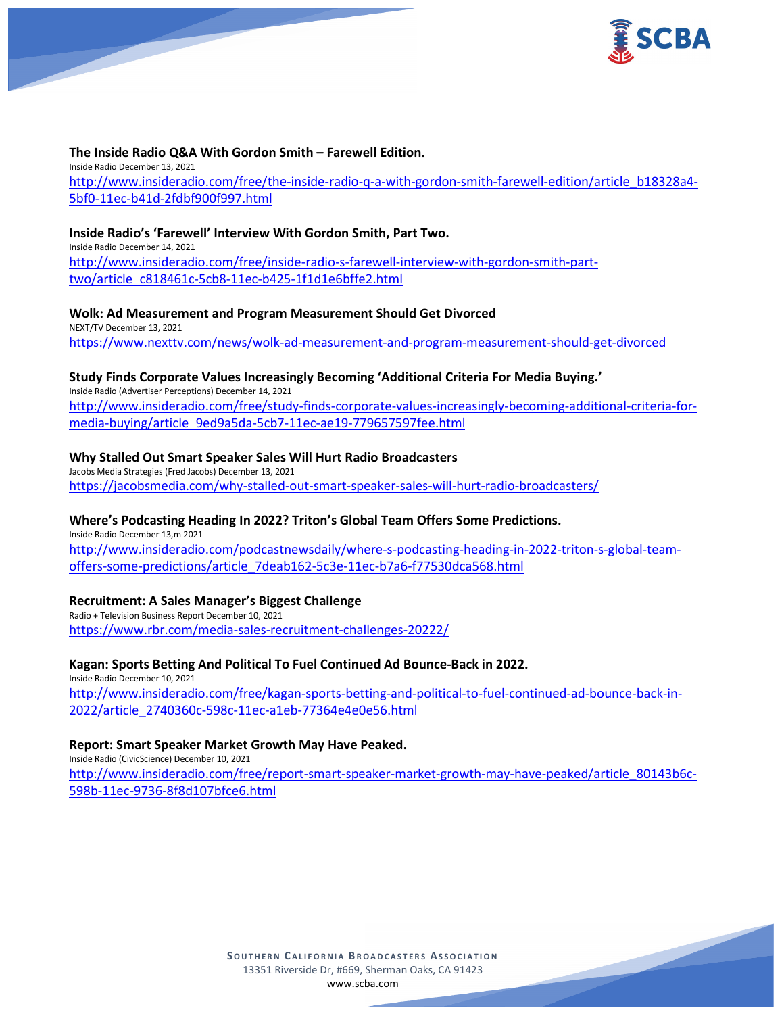

#### **The Inside Radio Q&A With Gordon Smith – Farewell Edition.**

Inside Radio December 13, 2021 [http://www.insideradio.com/free/the-inside-radio-q-a-with-gordon-smith-farewell-edition/article\\_b18328a4-](http://www.insideradio.com/free/the-inside-radio-q-a-with-gordon-smith-farewell-edition/article_b18328a4-5bf0-11ec-b41d-2fdbf900f997.html) [5bf0-11ec-b41d-2fdbf900f997.html](http://www.insideradio.com/free/the-inside-radio-q-a-with-gordon-smith-farewell-edition/article_b18328a4-5bf0-11ec-b41d-2fdbf900f997.html)

#### **Inside Radio's 'Farewell' Interview With Gordon Smith, Part Two.**

Inside Radio December 14, 2021 [http://www.insideradio.com/free/inside-radio-s-farewell-interview-with-gordon-smith-part](http://www.insideradio.com/free/inside-radio-s-farewell-interview-with-gordon-smith-part-two/article_c818461c-5cb8-11ec-b425-1f1d1e6bffe2.html)[two/article\\_c818461c-5cb8-11ec-b425-1f1d1e6bffe2.html](http://www.insideradio.com/free/inside-radio-s-farewell-interview-with-gordon-smith-part-two/article_c818461c-5cb8-11ec-b425-1f1d1e6bffe2.html)

#### **Wolk: Ad Measurement and Program Measurement Should Get Divorced**

NEXT/TV December 13, 2021 <https://www.nexttv.com/news/wolk-ad-measurement-and-program-measurement-should-get-divorced>

# **Study Finds Corporate Values Increasingly Becoming 'Additional Criteria For Media Buying.'**

Inside Radio (Advertiser Perceptions) December 14, 2021 [http://www.insideradio.com/free/study-finds-corporate-values-increasingly-becoming-additional-criteria-for](http://www.insideradio.com/free/study-finds-corporate-values-increasingly-becoming-additional-criteria-for-media-buying/article_9ed9a5da-5cb7-11ec-ae19-779657597fee.html)[media-buying/article\\_9ed9a5da-5cb7-11ec-ae19-779657597fee.html](http://www.insideradio.com/free/study-finds-corporate-values-increasingly-becoming-additional-criteria-for-media-buying/article_9ed9a5da-5cb7-11ec-ae19-779657597fee.html)

### **Why Stalled Out Smart Speaker Sales Will Hurt Radio Broadcasters**

Jacobs Media Strategies (Fred Jacobs) December 13, 2021 <https://jacobsmedia.com/why-stalled-out-smart-speaker-sales-will-hurt-radio-broadcasters/>

#### **Where's Podcasting Heading In 2022? Triton's Global Team Offers Some Predictions.**

Inside Radio December 13,m 2021 [http://www.insideradio.com/podcastnewsdaily/where-s-podcasting-heading-in-2022-triton-s-global-team](http://www.insideradio.com/podcastnewsdaily/where-s-podcasting-heading-in-2022-triton-s-global-team-offers-some-predictions/article_7deab162-5c3e-11ec-b7a6-f77530dca568.html)[offers-some-predictions/article\\_7deab162-5c3e-11ec-b7a6-f77530dca568.html](http://www.insideradio.com/podcastnewsdaily/where-s-podcasting-heading-in-2022-triton-s-global-team-offers-some-predictions/article_7deab162-5c3e-11ec-b7a6-f77530dca568.html)

#### **Recruitment: A Sales Manager's Biggest Challenge**

Radio + Television Business Report December 10, 2021 <https://www.rbr.com/media-sales-recruitment-challenges-20222/>

#### **Kagan: Sports Betting And Political To Fuel Continued Ad Bounce-Back in 2022.**

Inside Radio December 10, 2021 [http://www.insideradio.com/free/kagan-sports-betting-and-political-to-fuel-continued-ad-bounce-back-in-](http://www.insideradio.com/free/kagan-sports-betting-and-political-to-fuel-continued-ad-bounce-back-in-2022/article_2740360c-598c-11ec-a1eb-77364e4e0e56.html)[2022/article\\_2740360c-598c-11ec-a1eb-77364e4e0e56.html](http://www.insideradio.com/free/kagan-sports-betting-and-political-to-fuel-continued-ad-bounce-back-in-2022/article_2740360c-598c-11ec-a1eb-77364e4e0e56.html)

#### **Report: Smart Speaker Market Growth May Have Peaked.**

Inside Radio (CivicScience) December 10, 2021 [http://www.insideradio.com/free/report-smart-speaker-market-growth-may-have-peaked/article\\_80143b6c-](http://www.insideradio.com/free/report-smart-speaker-market-growth-may-have-peaked/article_80143b6c-598b-11ec-9736-8f8d107bfce6.html)[598b-11ec-9736-8f8d107bfce6.html](http://www.insideradio.com/free/report-smart-speaker-market-growth-may-have-peaked/article_80143b6c-598b-11ec-9736-8f8d107bfce6.html)